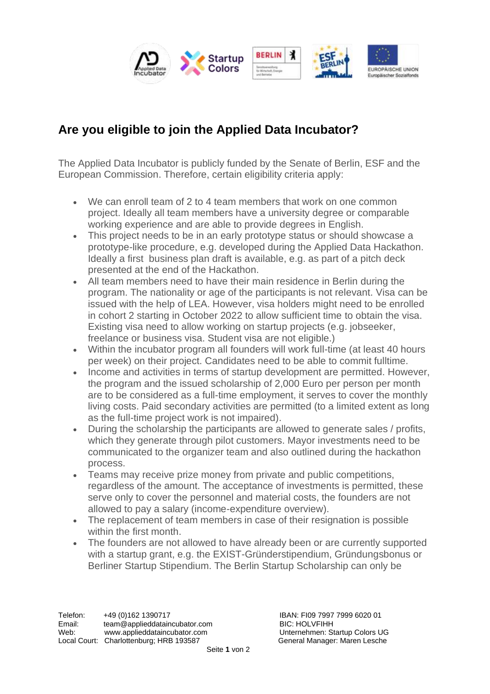

## **Are you eligible to join the Applied Data Incubator?**

The Applied Data Incubator is publicly funded by the Senate of Berlin, ESF and the European Commission. Therefore, certain eligibility criteria apply:

- We can enroll team of 2 to 4 team members that work on one common project. Ideally all team members have a university degree or comparable working experience and are able to provide degrees in English.
- This project needs to be in an early prototype status or should showcase a prototype-like procedure, e.g. developed during the Applied Data Hackathon. Ideally a first business plan draft is available, e.g. as part of a pitch deck presented at the end of the Hackathon.
- All team members need to have their main residence in Berlin during the program. The nationality or age of the participants is not relevant. Visa can be issued with the help of LEA. However, visa holders might need to be enrolled in cohort 2 starting in October 2022 to allow sufficient time to obtain the visa. Existing visa need to allow working on startup projects (e.g. jobseeker, freelance or business visa. Student visa are not eligible.)
- Within the incubator program all founders will work full-time (at least 40 hours per week) on their project. Candidates need to be able to commit fulltime.
- Income and activities in terms of startup development are permitted. However, the program and the issued scholarship of 2,000 Euro per person per month are to be considered as a full-time employment, it serves to cover the monthly living costs. Paid secondary activities are permitted (to a limited extent as long as the full-time project work is not impaired).
- During the scholarship the participants are allowed to generate sales / profits, which they generate through pilot customers. Mayor investments need to be communicated to the organizer team and also outlined during the hackathon process.
- Teams may receive prize money from private and public competitions, regardless of the amount. The acceptance of investments is permitted, these serve only to cover the personnel and material costs, the founders are not allowed to pay a salary (income-expenditure overview).
- The replacement of team members in case of their resignation is possible within the first month.
- The founders are not allowed to have already been or are currently supported with a startup grant, e.g. the EXIST-Gründerstipendium, Gründungsbonus or Berliner Startup Stipendium. The Berlin Startup Scholarship can only be